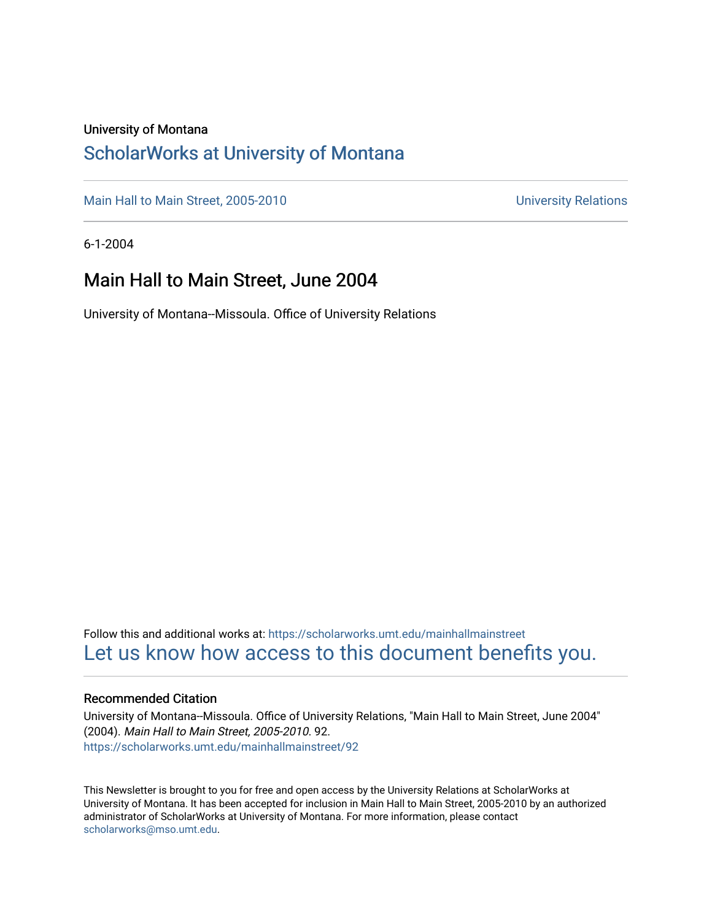#### University of Montana

#### [ScholarWorks at University of Montana](https://scholarworks.umt.edu/)

[Main Hall to Main Street, 2005-2010](https://scholarworks.umt.edu/mainhallmainstreet) Main Hall to Main Street, 2005-2010

6-1-2004

#### Main Hall to Main Street, June 2004

University of Montana--Missoula. Office of University Relations

Follow this and additional works at: [https://scholarworks.umt.edu/mainhallmainstreet](https://scholarworks.umt.edu/mainhallmainstreet?utm_source=scholarworks.umt.edu%2Fmainhallmainstreet%2F92&utm_medium=PDF&utm_campaign=PDFCoverPages) [Let us know how access to this document benefits you.](https://goo.gl/forms/s2rGfXOLzz71qgsB2) 

#### Recommended Citation

University of Montana--Missoula. Office of University Relations, "Main Hall to Main Street, June 2004" (2004). Main Hall to Main Street, 2005-2010. 92. [https://scholarworks.umt.edu/mainhallmainstreet/92](https://scholarworks.umt.edu/mainhallmainstreet/92?utm_source=scholarworks.umt.edu%2Fmainhallmainstreet%2F92&utm_medium=PDF&utm_campaign=PDFCoverPages) 

This Newsletter is brought to you for free and open access by the University Relations at ScholarWorks at University of Montana. It has been accepted for inclusion in Main Hall to Main Street, 2005-2010 by an authorized administrator of ScholarWorks at University of Montana. For more information, please contact [scholarworks@mso.umt.edu.](mailto:scholarworks@mso.umt.edu)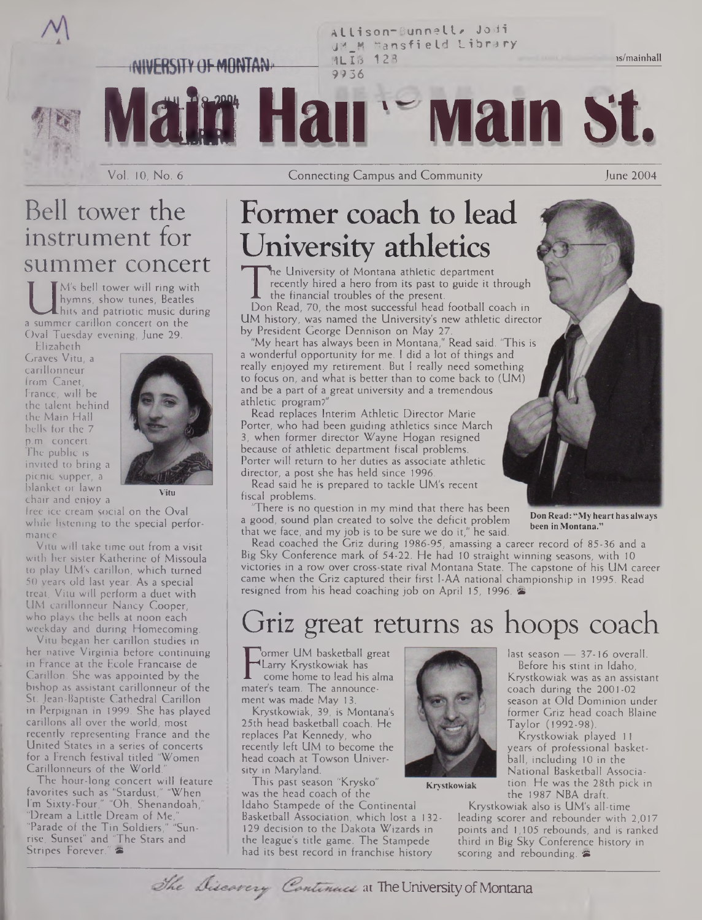**AI li son\*-Bun net I\* Jodi U\*|\_M Mansfield Library i4LIB 128** NIVERSITY OF MONTAN **9936**

**Mata Hair Mam St.**

is/mainhall

## Bell tower the instrument for summer concert

I hymns, show tunes, Beatles<br>hits and patriotic music during<br>Oval Tuesday evening lune 29 M's bell tower will ring with hymns, show tunes, Beatles hits and patriotic music during Oval Tuesday evening, June 29.

Elizabeth Craves Vitu, a carillonneur from Canet, France, will be the talent behind the Main Hall bells for the 7 p.m. concert. The public is invited to bring a picnic supper, a blanket or lawn chair and enjoy a



**Vitu**

free ice cream social on the Oval while listening to the special performance.

Vitu will take time out from a visit with her sister Katherine of Missoula to play UM's carillon, which turned 50 years old last year. As a special treat, Vitu will perform a duet with UM carillonneur Nancy Cooper, who plays the bells at noon each weekday and during Homecoming.

Vitu began her carillon studies in her native Virginia before continuing in France at the Ecole Francaise de Carillon. She was appointed by the bishop as assistant carillonneur of the St. Jean-Baptiste Cathedral Carillon in Perpignan in 1999. She has played carillons all over the world, most recently representing France and the United States in a series of concerts for a French festival titled "Women Carillonneurs of the World."

The hour-long concert will feature favorites such as "Stardust," "When I'm Sixty-Four," "Oh, Shenandoah," "Dream a Little Dream of Me," "Parade of the Tin Soldiers," "Sunrise, Sunset" and 'The Stars and Stripes Forever."

# Former coach to lead University athletics

The University of Montana attrictic department<br>recently hired a hero from its past to guide it through<br>the financial troubles of the present.<br>Don Read, 70, the most successful head football coach in<br>IIM history, was named he University of Montana athletic department recently hired a hero from its past to guide it through the financial troubles of the present.

UM history, was named the University's new athletic director by President George Dennison on May 27.

"My heart has always been in Montana," Read said. "This is a wonderful opportunity for me. <sup>1</sup> did a lot of things and really enjoyed my retirement. But <sup>I</sup> really need something to focus on, and what is better than to come back to (UM) and be a part of a great university and a tremendous athletic program?"

Read replaces Interim Athletic Director Marie Porter, who had been guiding athletics since March 3, when former director Wayne Hogan resigned because of athletic department fiscal problems. Porter will return to her duties as associate athletic director, a post she has held since 1996.

Read said he is prepared to tackle UM's recent fiscal problems.

There is no question in my mind that there has been a good, sound plan created to solve the deficit problem that we face, and my job is to be sure we do it," he said.

**DonRead: "My hearthas always been inMontana."**

last season — 37-16 overall. Before his stint in Idaho, Krystkowiak was as an assistant coach during the 2001-02 season at Old Dominion under former Griz head coach Blaine

Krystkowiak played <sup>11</sup> years of professional basketball, including 10 in the National Basketball Association. He was the 28th pick in

Read coached the Griz during 1986-95, amassing a career record of 85-36 and a Big Sky Conference mark of 54-22. He had 10 straight winning seasons, with 10 victories in a row over cross-state rival Montana State. The capstone of his UM career came when the Griz captured their first I-AA national championship in 1995. Read resigned from his head coaching job on April 15, 1996.

## Griz great returns as hoops coach

**T** Carry Nystrowiak has<br>come home to lead his al<br>mater's team. The announceormer UM basketball great Larry Krystkowiak has come home to lead his alma ment was made May 13.

Krystkowiak, 39, is Montana's 25th head basketball coach. He replaces Pat Kennedy, who recently left UM to become the head coach at Towson University in Maryland.

This past season "Krysko" was the head coach of the Idaho Stampede of the Continental Basketball Association, which lost a 132- 129 decision to the Dakota Wizards in the league's title game. The Stampede had its best record in franchise history



**Krystkowiak**

the 1987 NBA draft. Krystkowiak also is UM's all-time leading scorer and rebounder with 2,017 points and 1,105 rebounds, and is ranked third in Big Sky Conference history in scoring and rebounding.

Taylor (1992-98).

The Discovery Continues at The University of Montana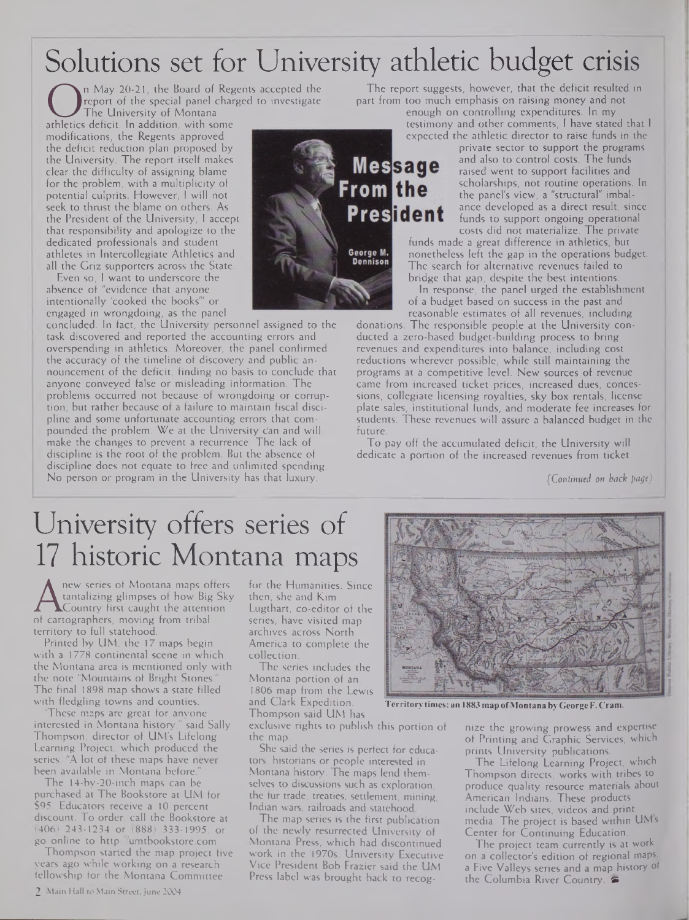# Solutions set for University athletic budget crisis

On May 20-21, the board of Regents act<br>
The University of Montana<br>
athletics deficit. In addition, with some<br>
modifications, the Regents approved n May 20-21, the Board of Regents accepted the report of the special panel charged to investigate The University of Montana modifications, the Regents approved the deficit reduction plan proposed by the University. The report itself makes clear the difficulty of assigning blame for the problem, with a multiplicity of potential culprits. However, <sup>I</sup> will not seek to thrust the blame on others. As the President of the University, <sup>1</sup> accept that responsibility and apologize to the dedicated professionals and student athletes in Intercollegiate Athletics and all the Griz supporters across the State.

Even so, <sup>I</sup> want to underscore the absence of "evidence that anyone intentionally 'cooked the books'" or engaged in wrongdoing, as the panel

concluded. In fact, the University personnel assigned to the task discovered and reported the accounting errors and overspending in athletics. Moreover, the panel confirmed the accuracy of the timeline of discovery and public announcement of the deficit, finding no basis to conclude that anyone conveyed false or misleading information. The problems occurred not because of wrongdoing or corruption, but rather because of a failure to maintain fiscal discipline and some unfortunate accounting errors that compounded the problem. We at the University c'an and will make the changes to prevent a recurrence. The lack of discipline is the root of the problem. But the absence of discipline does not equate to free and unlimited spending. No person or program in the University has that luxury.



The report suggests, however, that the deficit resulted in part from too much emphasis on raising money and not

enough on controlling expenditures. In my testimony and other comments, <sup>I</sup> have stated that <sup>1</sup> expected the athletic director to raise funds in the

private sector to support the programs and also to control costs. The funds raised went to support facilities and scholarships, not routine operations. In the panel's view, a "structural" imbalance developed as a direct result, since funds to support ongoing operational costs did not materialize. The private

funds made a great difference in athletics, but nonetheless left the gap in the operations budget. The search for alternative revenues failed to bridge that gap, despite the best intentions.

In response, the panel urged the establishment of a budget based on success in the past and reasonable estimates of all revenues, including

donations. The responsible people at the University conducted a zero-based budget-building process to bring revenues and expenditures into balance, including cost reductions wherever possible, while still maintaining the programs at a competitive level. New sources of revenue came from increased ticket prices, increased dues, concessions, collegiate licensing royalties, sky box rentals, license plate sales, institutional funds, and moderate fee increases for students. These revenues will assure a balanced budget in the future.

To pay off the accumulated deficit, the University will dedicate a portion of the increased revenues from ticket

*(Continued on back page)*

# University offers series of 17 historic Montana maps

A tantalizing glimpses of how Big Sky<br>of cartographers, moving from tribal<br>tartion to hill statehed new series of Montana maps offers tantalizing glimpses of how Big Sky Country first caught the attention territory to full statehood.

Printed by UM, the 17 maps begin with a 1778 continental scene in which the Montana area is mentioned only with the note "Mountains of Bright Stones." The final 1898 map shows a state filled with fledgling towns and counties.

These maps are great for anyone interested in Montana history," said Sally Thompson, director of UM's Lifelong Learning Project, which produced the series. "A lot of these maps have never been available in Montana before."

The 14-by-20-inch maps can be purchased at The Bookstore at UM for \$95. Educators receive a 10 percent discount. To order, call the Bookstore at (406) 243-1234 or (888) 333-1995, or go online to <http://umtbookstore.com>.

Thompson started the map project five years ago while working on a research fellowship for the Montana Committee

for the Humanities. Since then, she and Kim Lugthart, co-editor of the series, have visited map archives across North America to complete the collection.

The series includes the Montana portion of an 1806 map from the Lewis and Clark Expedition. Thompson said UM has

exclusive rights to publish this portion of the map.

She said the series is perfect for educators, historians or people interested in Montana history. The maps lend themselves to discussions such as exploration, the fur trade, treaties, settlement, mining, Indian wars, railroads and statehood.

The map series is the first publication of the newly resurrected University of Montana Press, which had discontinued work in the 1970s. University Executive Vice President Bob Frazier said the UM Press label was brought back to recog-



**Territory times: an 1883 map ofMontana byGeorge F. Cram.**

nize the growing prowess and expertise of Printing and Graphic Services, which prints University publications.

The Lifelong Learning Project, which Thompson directs, works with tribes to produce quality resource materials about American Indians. These products include Web sites, videos and print media. The project is based within UMs Center for Continuing Education.

The project team currently is at work on a collector's edition of regional maps. a Five Valleys series and a map history of the Columbia River Country.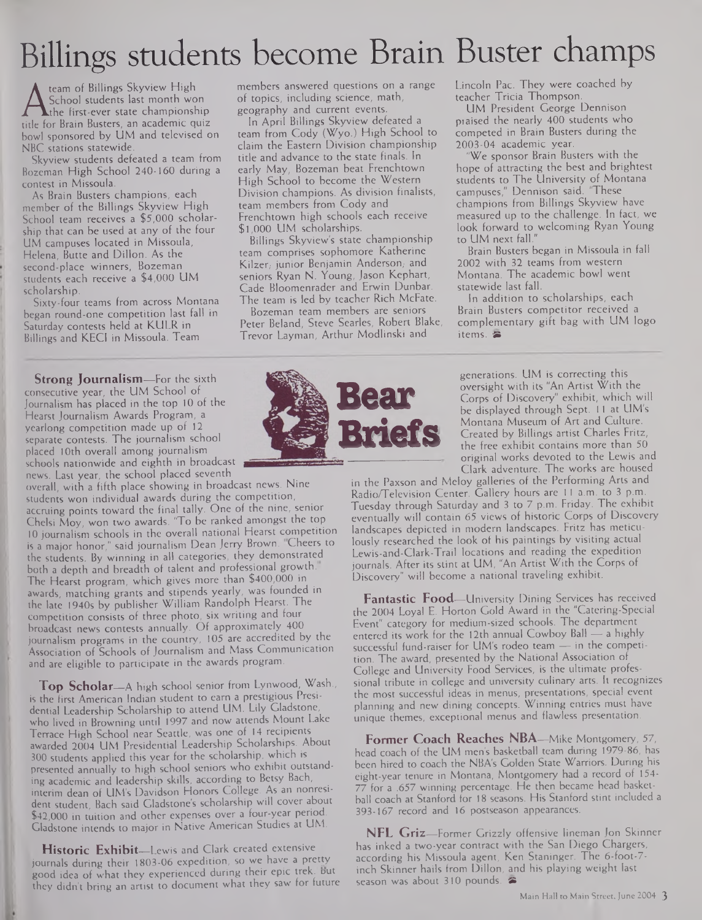# Billings students become Brain Buster champs

A School students last month won<br>title for Brain Busters, an academic quiz<br>the for Brain Busters, an academic quiz team of Billings Skyview High School students last month won Athe first-ever state championship bowl sponsored by UM and televised on NBC stations statewide.

Skyview students defeated a team from Bozeman High School 240-160 during a contest in Missoula.

As Brain Busters champions, each member of the Billings Skyview High School team receives a \$5,000 scholarship that can be used at any of the four UM campuses located in Missoula, Helena, Butte and Dillon. As the second-place winners, Bozeman students each receive a \$4,000 UM scholarship.

Sixty-four teams from across Montana began round-one competition last fall in Saturday contests held at KULR in Billings and KECI in Missoula. Team

**Strong Journalism—**For the sixth consecutive year, the UM School of Journalism has placed in the top 10 of the Hearst Journalism Awards Program, a yearlong competition made up of 12 separate contests. The journalism school placed 10th overall among journalism schools nationwide and eighth in broadcast news. Last year, the school placed seventh

overall, with a fifth place showing in broadcast news. Nine students won individual awards during the competition, accruing points toward the final tally. One of the nine, senior Chelsi Moy, won two awards. "To be ranked amongst the top 10 journalism schools in the overall national Hearst competition is a major honor," said journalism Dean Jerry Brown. Cheers to the students. By winning in all categories, they demonstrated both a depth and breadth of talent and professional growth. The Hearst program, which gives more than \$400,000 in awards, matching grants and stipends yearly, was founded in the late 1940s by publisher William Randolph Hearst. The competition consists of three photo, six writing and four broadcast news contests annually. Of approximately 400 journalism programs in the country, 105 are accredited by the Association of Schools of Journalism and Mass Communication and are eligible to participate in the awards program.

**Top Scholar—**A high school senior from Lynwood, Wash., is the first American Indian student to earn a prestigious Presidential Leadership Scholarship to attend UM. Lily Gladstone, who lived in Browning until 1997 and now attends Mount Lake Terrace High School near Seattle, was one of 14 recipients awarded 2004 UM Presidential Leadership Scholarships. About 300 students applied this year for the scholarship, which is presented annually to high school seniors who exhibit outstanding academic and leadership skills, according to Betsy Bach, interim dean of UM's Davidson Honors College. As an nonresident student, Bach said Gladstone's scholarship will cover about \$42,000 in tuition and other expenses over a four-year period. Gladstone intends to major in Native American Studies at UM.

**Historic Exhibit—**Lewis and Clark created extensive journals during their 1803-06 expedition, so we have a pretty good idea of what they experienced during their epic trek. But they didn't bring an artist to document what they saw for future

members answered questions on a range of topics, including science, math, geography and current events.

In April Billings Skyview defeated a team from Cody (Wyo.) High School to claim the Eastern Division championship title and advance to the state finals. In early May, Bozeman beat Frenchtown High School to become the Western Division champions. As division finalists, team members from Cody and Frenchtown high schools each receive \$1,000 UM scholarships.

Billings Skyview's state championship team comprises sophomore Katherine Kilzer, junior Benjamin Anderson, and seniors Ryan N. Young, Jason Kephart, Cade Bloomenrader and Erwin Dunbar. The team is led by teacher Rich McFate. Bozeman team members are seniors

Peter Beland, Steve Searles, Robert Blake, Trevor Layman, Arthur Modiinski and



Lincoln Pac. They were coached by teacher Tricia Thompson.

UM President George Dennison praised the nearly 400 students who competed in Brain Busters during the 2003-04 academic year.

"We sponsor Brain Busters with the hope of attracting the best and brightest students to The University of Montana campuses," Dennison said. "These champions from Billings Skyview have measured up to the challenge. In fact, we look forward to welcoming Ryan Young to UM next fall."

Brain Busters began in Missoula in fall 2002 with 32 teams from western Montana. The academic bowl went statewide last fall.

In addition to scholarships, each Brain Busters competitor received a complementary gift bag with UM logo items. ®

generations. UM is correcting this oversight with its "An Artist With the Corps of Discovery" exhibit, which will be displayed through Sept. 11 at UM's Montana Museum of Art and Culture. Created by Billings artist Charles Fritz, the free exhibit contains more than 50 original works devoted to the Lewis and Clark adventure. The works are housed

in the Paxson and Meloy galleries of the Performing Arts and Radio/Television Center. Gallery hours are 11 a.m. to 3 p.m. Tuesday through Saturday and 3 to 7 p.m. Friday. The exhibit eventually will contain 65 views of historic Corps of Discovery landscapes depicted in modern landscapes. Fritz has meticulously researched the look of his paintings by visiting actual Lewis-and-Clark-Trail locations and reading the expedition journals. After its stint at UM, "An Artist With the Corps of Discovery" will become a national traveling exhibit.

**Fantastic Food—**University Dining Services has received the 2004 Loyal E. Horton Gold Award in the "Catering-Special Event" category for medium-sized schools. The department entered its work for the 12th annual Cowboy Ball — a highly successful fund-raiser for UM's rodeo team — in the competition. The award, presented by the National Association of College and University Food Services, is the ultimate professional tribute in college and university culinary arts. It recognizes the most successful ideas in menus, presentations, special event planning and new dining concepts. Winning entries must have unique themes, exceptional menus and flawless presentation.

**Former Coach Reaches NBA—**Mike Montgomery, 57, head coach of the UM men's basketball team during 1979-86, has been hired to coach the NBA's Golden State Warriors. During his eight-year tenure in Montana, Montgomery had a record of 154- 77 for a .657 winning percentage. He then became head basketball coach at Stanford for 18 seasons. His Stanford stint included a 393-167 record and 16 postseason appearances.

**NFL Griz—**Former Grizzly offensive lineman Jon Skinner has inked a two-year contract with the San Diego Chargers, according his Missoula agent, Ken Staninger. The 6-foot-7 inch Skinner hails from Dillon, and his playing weight last season was about 310 pounds.